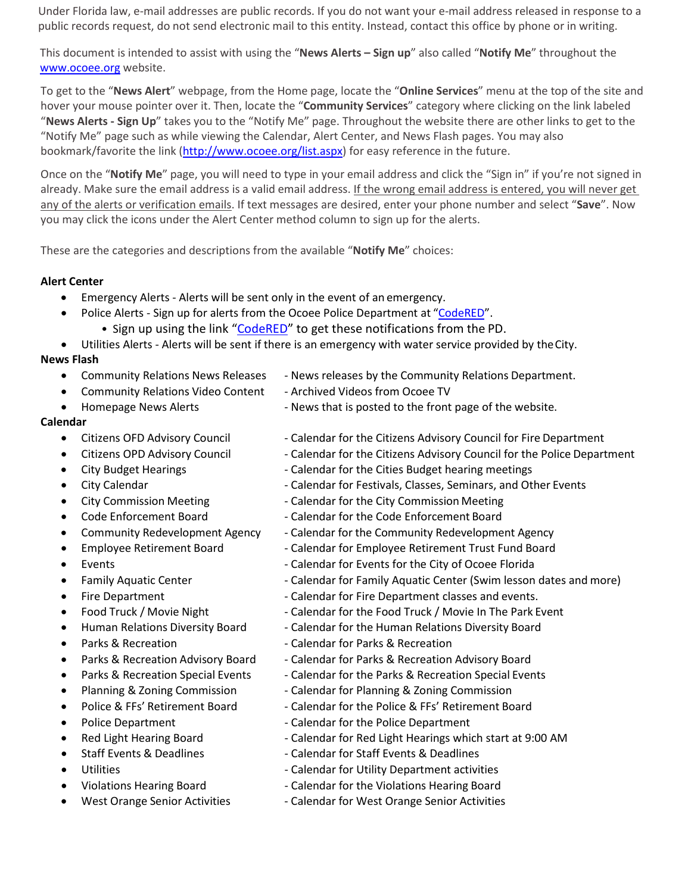Under Florida law, e-mail addresses are public records. If you do not want your e-mail address released in response to a public records request, do not send electronic mail to this entity. Instead, contact this office by phone or in writing.

This document is intended to assist with using the "**News Alerts – Sign up**" also called "**Notify Me**" throughout the [www.ocoee.org](http://www.ocoee.org/) website.

To get to the "**News Alert**" webpage, from the Home page, locate the "**Online Services**" menu at the top of the site and hover your mouse pointer over it. Then, locate the "**Community Services**" category where clicking on the link labeled "**News Alerts - Sign Up**" takes you to the "Notify Me" page. Throughout the website there are other links to get to the "Notify Me" page such as while viewing the Calendar, Alert Center, and News Flash pages. You may also bookmark/favorite the link [\(http://www.ocoee.org/list.aspx\)](http://www.ocoee.org/list.aspx) for easy reference in the future.

Once on the "**Notify Me**" page, you will need to type in your email address and click the "Sign in" if you're not signed in already. Make sure the email address is a valid email address. If the wrong email address is entered, you will never get any of the alerts or verification emails. If text messages are desired, enter your phone number and select "**Save**". Now you may click the icons under the Alert Center method column to sign up for the alerts.

These are the categories and descriptions from the available "**Notify Me**" choices:

# **Alert Center**

- Emergency Alerts Alerts will be sent only in the event of an emergency.
	- Police Alerts Sign up for alerts from the Ocoee Police Department at ["CodeRED"](https://public.coderedweb.com/CNE/C84C76D501C8). • Sign up using the link ["CodeRED"](https://public.coderedweb.com/CNE/C84C76D501C8) to get these notifications from the PD.
- Utilities Alerts Alerts will be sent if there is an emergency with water service provided by theCity.

# **News Flash**

- Community Relations News Releases News releases by the Community Relations Department.
	- Community Relations Video Content Archived Videos from Ocoee TV
- Homepage News Alerts News that is posted to the front page of the website.

# **Calendar**

- 
- 
- 
- 
- 
- 
- 
- 
- 
- 
- 
- 
- 
- 
- 
- 
- 
- 
- 
- 
- 
- 
- 
- 
- Citizens OFD Advisory Council Calendar for the Citizens Advisory Council for Fire Department
- Citizens OPD Advisory Council Calendar for the Citizens Advisory Council for the Police Department
	- City Budget Hearings Calendar for the Cities Budget hearing meetings
- City Calendar  **Calendar for Festivals, Classes, Seminars, and Other Events** 
	- City Commission Meeting Calendar for the City Commission Meeting
- Code Enforcement Board Calendar for the Code Enforcement Board
- Community Redevelopment Agency Calendar for the Community Redevelopment Agency
- Employee Retirement Board Falendar for Employee Retirement Trust Fund Board
- Events **Calendar for Events for the City of Ocoee Florida Calendar for Events for the City of Ocoee Florida** 
	- Family Aquatic Center Calendar for Family Aquatic Center (Swim lesson dates and more)
	- Fire Department **Fire Department** Calendar for Fire Department classes and events.
	- Food Truck / Movie Night Calendar for the Food Truck / Movie In The Park Event
	- Human Relations Diversity Board Calendar for the Human Relations Diversity Board
	- Parks & Recreation Calendar for Parks & Recreation
	- Parks & Recreation Advisory Board Calendar for Parks & Recreation Advisory Board
	- Parks & Recreation Special Events Calendar for the Parks & Recreation Special Events
	- Planning & Zoning Commission  **Calendar for Planning & Zoning Commission**
	- Police & FFs' Retirement Board Calendar for the Police & FFs' Retirement Board
- Police Department  **Calendar for the Police Department** 
	- Red Light Hearing Board Calendar for Red Light Hearings which start at 9:00 AM
	- Staff Events & Deadlines Calendar for Staff Events & Deadlines
- Utilities **Act and Calendar for Utility Department activities Calendar for Utility Department activities** 
	- Violations Hearing Board  **Calendar for the Violations Hearing Board**
	- West Orange Senior Activities Calendar for West Orange Senior Activities